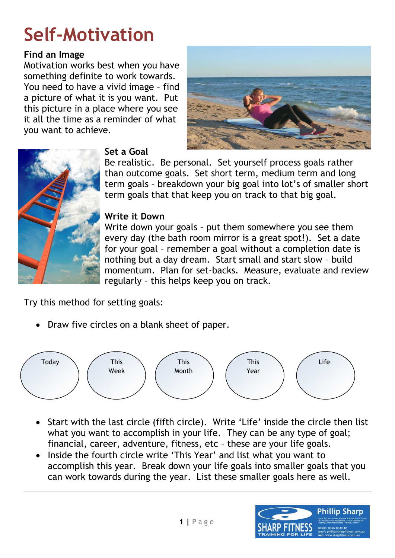# **Self[-Motivation](http://mothersdayclassic.com.au/galleries/mothers-day-classic-2009)**

#### **Find an Image**

Motivation works best when you have something definite to work towards. You need to have a vivid image – find a picture of what it is you want. Put this picture in a place where you see it all the time as a reminder of what you want to achieve.





# **Set a Goal**

Be realistic. Be personal. Set yourself process goals rather than outcome goals. Set short term, medium term and long term goals – breakdown your big goal into lot's of smaller short term goals that that keep you on track to that big goal.

# **Write it Down**

Write down your goals – put them somewhere you see them every day (the bath room mirror is a great spot!). Set a date for your goal – remember a goal without a completion date is nothing but a day dream. Start small and start slow – build momentum. Plan for set-backs. Measure, evaluate and review regularly – this helps keep you on track.

Try this method for setting goals:

• Draw five circles on a blank sheet of paper.



- Start with the last circle (fifth circle). Write 'Life' inside the circle then list what you want to accomplish in your life. They can be any type of goal; financial, career, adventure, fitness, etc – these are your life goals.
- Inside the fourth circle write 'This Year' and list what you want to accomplish this year. Break down your life goals into smaller goals that you can work towards during the year. List these smaller goals here as well.

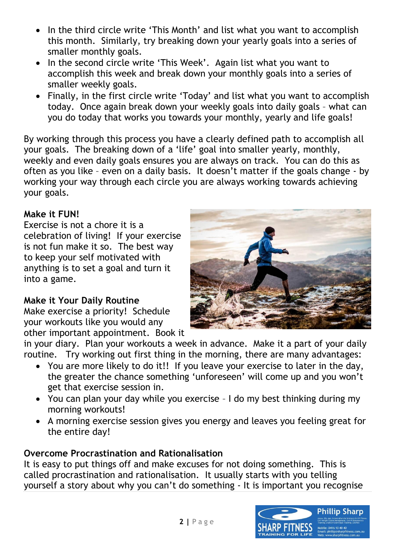- In the third circle write 'This Month' and list what you want to accomplish this month. Similarly, try breaking down your yearly goals into a series of smaller monthly goals.
- In the second circle write 'This Week'. Again list what you want to accomplish this week and break down your monthly goals into a series of smaller weekly goals.
- Finally, in the first circle write 'Today' and list what you want to accomplish today. Once again break down your weekly goals into daily goals – what can you do today that works you towards your monthly, yearly and life goals!

By working through this process you have a clearly defined path to accomplish all your goals. The breaking down of a 'life' goal into smaller yearly, monthly, weekly and even daily goals ensures you are always on track. You can do this as often as you like – even on a daily basis. It doesn't matter if the goals change - by working your way through each circle you are always working towards achieving your goals.

# **Make it FUN!**

Exercise is not a chore it is a celebration of living! If your exercise is not fun make it so. The best way to keep your self motivated with anything is to set a goal and turn it into a game.

## **Make it Your Daily Routine**

Make exercise a priority! Schedule your workouts like you would any other important appointment. Book it



in your diary. Plan your workouts a week in advance. Make it a part of your daily routine. Try working out first thing in the morning, there are many advantages:

- You are more likely to do it!! If you leave your exercise to later in the day, the greater the chance something 'unforeseen' will come up and you won't get that exercise session in.
- You can plan your day while you exercise I do my best thinking during my morning workouts!
- A morning exercise session gives you energy and leaves you feeling great for the entire day!

## **Overcome Procrastination and Rationalisation**

It is easy to put things off and make excuses for not doing something. This is called procrastination and rationalisation. It usually starts with you telling yourself a story about why you can't do something - It is important you recognise